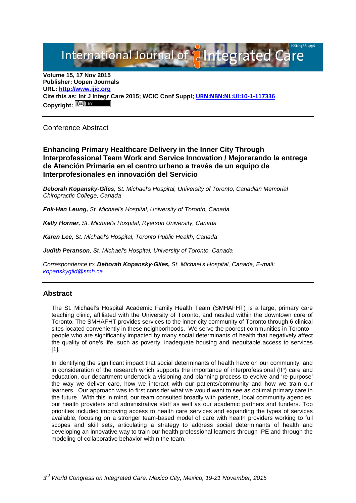# International Journal of **Plategrated Ca**

**Volume 15, 17 Nov 2015 Publisher: Uopen Journals URL: [http://www.ijic.org](http://www.ijic.org/) Cite this as: Int J Integr Care 2015; WCIC Conf Suppl; [URN:NBN:NL:UI:10-1-117336](http://persistent-identifier.nl/?identifier=URN:NBN:NL:UI:10-1-117336)** Copyright:  $(cc)$ 

Conference Abstract

**Enhancing Primary Healthcare Delivery in the Inner City Through Interprofessional Team Work and Service Innovation / Mejorarando la entrega de Atención Primaria en el centro urbano a través de un equipo de Interprofesionales en innovación del Servicio**

*Deborah Kopansky-Giles, St. Michael's Hospital, University of Toronto, Canadian Memorial Chiropractic College, Canada*

*Fok-Han Leung, St. Michael's Hospital, University of Toronto, Canada*

*Kelly Horner, St. Michael's Hospital, Ryerson University, Canada*

*Karen Lee, St. Michael's Hospital, Toronto Public Health, Canada*

*Judith Peranson, St. Michael's Hospital, University of Toronto, Canada*

*Correspondence to: Deborah Kopansky-Giles, St. Michael's Hospital, Canada, E-mail: [kopanskygild@smh.ca](mailto:kopanskygild@smh.ca)*

## **Abstract**

The St. Michael's Hospital Academic Family Health Team (SMHAFHT) is a large, primary care teaching clinic, affiliated with the University of Toronto, and nestled within the downtown core of Toronto. The SMHAFHT provides services to the inner-city community of Toronto through 6 clinical sites located conveniently in these neighborhoods. We serve the poorest communities in Toronto people who are significantly impacted by many social determinants of health that negatively affect the quality of one's life, such as poverty, inadequate housing and inequitable access to services [1].

In identifying the significant impact that social determinants of health have on our community, and in consideration of the research which supports the importance of interprofessional (IP) care and education, our department undertook a visioning and planning process to evolve and 're-purpose' the way we deliver care, how we interact with our patients/community and how we train our learners. Our approach was to first consider what we would want to see as optimal primary care in the future. With this in mind, our team consulted broadly with patients, local community agencies, our health providers and administrative staff as well as our academic partners and funders. Top priorities included improving access to health care services and expanding the types of services available, focusing on a stronger team-based model of care with health providers working to full scopes and skill sets, articulating a strategy to address social determinants of health and developing an innovative way to train our health professional learners through IPE and through the modeling of collaborative behavior within the team.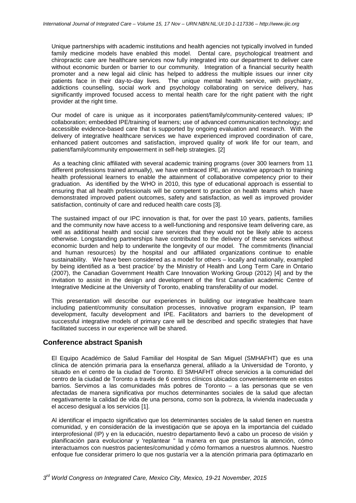Unique partnerships with academic institutions and health agencies not typically involved in funded family medicine models have enabled this model. Dental care, psychological treatment and chiropractic care are healthcare services now fully integrated into our department to deliver care without economic burden or barrier to our community. Integration of a financial security health promoter and a new legal aid clinic has helped to address the multiple issues our inner city patients face in their day-to-day lives. The unique mental health service, with psychiatry, addictions counselling, social work and psychology collaborating on service delivery, has significantly improved focused access to mental health care for the right patient with the right provider at the right time.

Our model of care is unique as it incorporates patient/family/community-centered values; IP collaboration; embedded IPE/training of learners; use of advanced communication technology; and accessible evidence-based care that is supported by ongoing evaluation and research. With the delivery of integrative healthcare services we have experienced improved coordination of care, enhanced patient outcomes and satisfaction, improved quality of work life for our team, and patient/family/community empowerment in self-help strategies. [2]

As a teaching clinic affiliated with several academic training programs (over 300 learners from 11 different professions trained annually), we have embraced IPE, an innovative approach to training health professional learners to enable the attainment of collaborative competency prior to their graduation. As identified by the WHO in 2010, this type of educational approach is essential to ensuring that all health professionals will be competent to practice on health teams which have demonstrated improved patient outcomes, safety and satisfaction, as well as improved provider satisfaction, continuity of care and reduced health care costs [3].

The sustained impact of our IPC innovation is that, for over the past 10 years, patients, families and the community now have access to a well-functioning and responsive team delivering care, as well as additional health and social care services that they would not be likely able to access otherwise. Longstanding partnerships have contributed to the delivery of these services without economic burden and help to underwrite the longevity of our model. The commitments (financial and human resources) by the hospital and our affiliated organizations continue to enable sustainability. We have been considered as a model for others – locally and nationally, exampled by being identified as a 'best practice' by the Ministry of Health and Long Term Care in Ontario (2007), the Canadian Government Health Care Innovation Working Group (2012) [4] and by the invitation to assist in the design and development of the first Canadian academic Centre of Integrative Medicine at the University of Toronto, enabling transferability of our model.

This presentation will describe our experiences in building our integrative healthcare team including patient/community consultation processes, innovative program expansion, IP team development, faculty development and IPE. Facilitators and barriers to the development of successful integrative models of primary care will be described and specific strategies that have facilitated success in our experience will be shared.

## **Conference abstract Spanish**

El Equipo Académico de Salud Familiar del Hospital de San Miguel (SMHAFHT) que es una clínica de atención primaria para la enseñanza general, afiliado a la Universidad de Toronto, y situado en el centro de la ciudad de Toronto. El SMHAFHT ofrece servicios a la comunidad del centro de la ciudad de Toronto a través de 6 centros clínicos ubicados convenientemente en estos barrios. Servimos a las comunidades más pobres de Toronto – a las personas que se ven afectadas de manera significativa por muchos determinantes sociales de la salud que afectan negativamente la calidad de vida de una persona, como son la pobreza, la vivienda inadecuada y el acceso desigual a los servicios [1].

Al identificar el impacto significativo que los determinantes sociales de la salud tienen en nuestra comunidad, y en consideración de la investigación que se apoya en la importancia del cuidado interprofesional (IP) y en la educación, nuestro departamento llevó a cabo un proceso de visión y planificación para evolucionar y 'replantear " la manera en que prestamos la atención, cómo interactuamos con nuestros pacientes/comunidad y cómo formamos a nuestros alumnos. Nuestro enfoque fue considerar primero lo que nos gustaría ver a la atención primaria para óptimazarlo en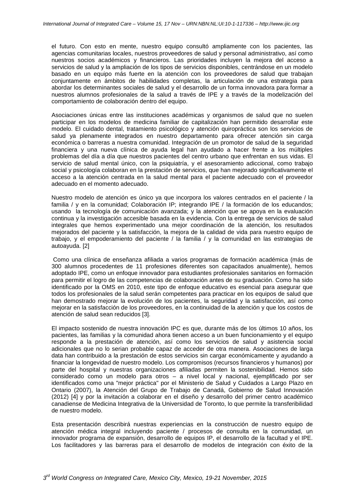el futuro. Con esto en mente, nuestro equipo consultó ampliamente con los pacientes, las agencias comunitarias locales, nuestros proveedores de salud y personal administrativo, así como nuestros socios académicos y financieros. Las prioridades incluyen la mejora del acceso a servicios de salud y la ampliación de los tipos de servicios disponibles, centrándose en un modelo basado en un equipo más fuerte en la atención con los proveedores de salud que trabajan conjuntamente en ámbitos de habilidades completas, la articulación de una estrategia para abordar los determinantes sociales de salud y el desarrollo de un forma innovadora para formar a nuestros alumnos profesionales de la salud a través de IPE y a través de la modelización del comportamiento de colaboración dentro del equipo.

Asociaciones únicas entre las instituciones académicas y organismos de salud que no suelen participar en los modelos de medicina familiar de capitalización han permitido desarrollar este modelo. El cuidado dental, tratamiento psicológico y atención quiropráctica son los servicios de salud ya plenamente integrados en nuestro departamento para ofrecer atención sin carga económica o barreras a nuestra comunidad. Integración de un promotor de salud de la seguridad financiera y una nueva clínica de ayuda legal han ayudado a hacer frente a los múltiples problemas del día a día que nuestros pacientes del centro urbano que enfrentan en sus vidas. El servicio de salud mental único, con la psiquiatría, y el asesoramiento adiccional, como trabajo social y psicología colaboran en la prestación de servicios, que han mejorado significativamente el acceso a la atención centrada en la salud mental para el paciente adecuado con el proveedor adecuado en el momento adecuado.

Nuestro modelo de atención es único ya que incorpora los valores centrados en el paciente / la familia / y en la comunidad; Colaboración IP; integrando IPE / la formación de los educandos; usando la tecnología de comunicación avanzada; y la atención que se apoya en la evaluación continua y la investigación accesible basada en la evidencia. Con la entrega de servicios de salud integrales que hemos experimentado una mejor coordinación de la atención, los resultados mejorados del paciente y la satisfacción, la mejora de la calidad de vida para nuestro equipo de trabajo, y el empoderamiento del paciente / la familia / y la comunidad en las estrategias de autoayuda. [2]

Como una clínica de enseñanza afiliada a varios programas de formación académica (más de 300 alumnos procedentes de 11 profesiones diferentes son capacitados anualmente), hemos adoptado IPE, como un enfoque innovador para estudiantes profesionales sanitarios en formación para permitir el logro de las competencias de colaboración antes de su graduación. Como ha sido identificado por la OMS en 2010, este tipo de enfoque educativo es esencial para asegurar que todos los profesionales de la salud serán competentes para practicar en los equipos de salud que han demostrado mejorar la evolución de los pacientes, la seguridad y la satisfacción, así como mejorar en la satisfacción de los proveedores, en la continuidad de la atención y que los costos de atención de salud sean reducidos [3].

El impacto sostenido de nuestra innovación IPC es que, durante más de los últimos 10 años, los pacientes, las familias y la comunidad ahora tienen acceso a un buen funcionamiento y el equipo responde a la prestación de atención, así como los servicios de salud y asistencia social adicionales que no lo serian probable capaz de acceder de otra manera. Asociaciones de larga data han contribuido a la prestación de estos servicios sin cargar económicamente y ayudando a financiar la longevidad de nuestro modelo. Los compromisos (recursos financieros y humanos) por parte del hospital y nuestras organizaciones afiliadas permiten la sostenibilidad. Hemos sido considerado como un modelo para otros – a nivel local y nacional, ejemplificado por ser identificados como una "mejor práctica" por el Ministerio de Salud y Cuidados a Largo Plazo en Ontario (2007), la Atención del Grupo de Trabajo de Canadá, Gobierno de Salud Innovación (2012) [4] y por la invitación a colaborar en el diseño y desarrollo del primer centro académico canadiense de Medicina Integrativa de la Universidad de Toronto, lo que permite la transferibilidad de nuestro modelo.

Esta presentación describirá nuestras experiencias en la construcción de nuestro equipo de atención médica integral incluyendo paciente / procesos de consulta en la comunidad, un innovador programa de expansión, desarrollo de equipos IP, el desarrollo de la facultad y el IPE. Los facilitadores y las barreras para el desarrollo de modelos de integración con éxito de la